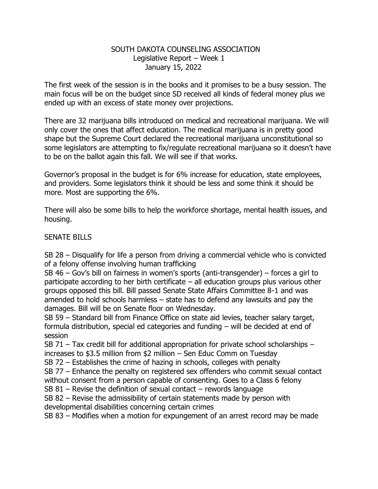## SOUTH DAKOTA COUNSELING ASSOCIATION Legislative Report – Week 1 January 15, 2022

The first week of the session is in the books and it promises to be a busy session. The main focus will be on the budget since SD received all kinds of federal money plus we ended up with an excess of state money over projections.

There are 32 marijuana bills introduced on medical and recreational marijuana. We will only cover the ones that affect education. The medical marijuana is in pretty good shape but the Supreme Court declared the recreational marijuana unconstitutional so some legislators are attempting to fix/regulate recreational marijuana so it doesn't have to be on the ballot again this fall. We will see if that works.

Governor's proposal in the budget is for 6% increase for education, state employees, and providers. Some legislators think it should be less and some think it should be more. Most are supporting the 6%.

There will also be some bills to help the workforce shortage, mental health issues, and housing.

## SENATE BILLS

SB 28 – Disqualify for life a person from driving a commercial vehicle who is convicted of a felony offense involving human trafficking

SB 46 – Gov's bill on fairness in women's sports (anti-transgender) – forces a girl to participate according to her birth certificate – all education groups plus various other groups opposed this bill. Bill passed Senate State Affairs Committee 8-1 and was amended to hold schools harmless – state has to defend any lawsuits and pay the damages. Bill will be on Senate floor on Wednesday.

SB 59 – Standard bill from Finance Office on state aid levies, teacher salary target, formula distribution, special ed categories and funding – will be decided at end of session

SB 71 – Tax credit bill for additional appropriation for private school scholarships – increases to \$3.5 million from \$2 million – Sen Educ Comm on Tuesday

SB 72 – Establishes the crime of hazing in schools, colleges with penalty

SB 77 – Enhance the penalty on registered sex offenders who commit sexual contact without consent from a person capable of consenting. Goes to a Class 6 felony

SB  $81$  – Revise the definition of sexual contact – rewords language

SB 82 – Revise the admissibility of certain statements made by person with developmental disabilities concerning certain crimes

SB 83 – Modifies when a motion for expungement of an arrest record may be made